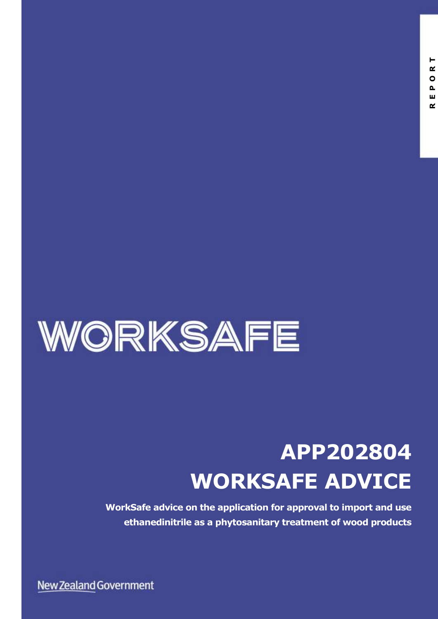

# **APP202804 WORKSAFE ADVICE**

**WorkSafe advice on the application for approval to import and use ethanedinitrile as a phytosanitary treatment of wood products**

New Zealand Government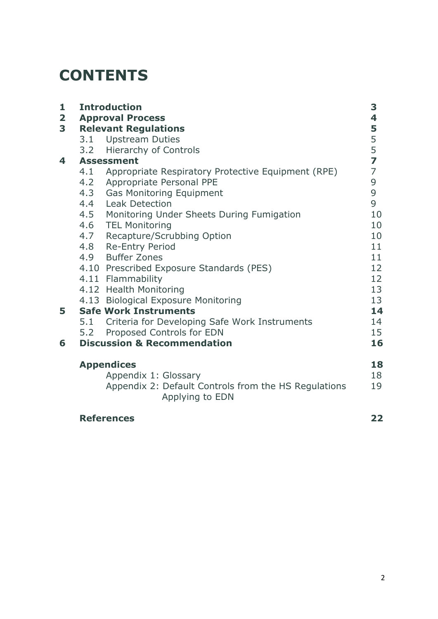### **CONTENTS**

| 1                       | <b>Introduction</b><br><b>Approval Process</b> |                                                      |                |  |  |
|-------------------------|------------------------------------------------|------------------------------------------------------|----------------|--|--|
| $\overline{\mathbf{2}}$ |                                                |                                                      |                |  |  |
| 3                       | <b>Relevant Regulations</b>                    |                                                      |                |  |  |
|                         |                                                | 3.1 Upstream Duties                                  | $\frac{5}{5}$  |  |  |
|                         |                                                | 3.2 Hierarchy of Controls                            |                |  |  |
| 4                       | <b>Assessment</b>                              |                                                      |                |  |  |
|                         | 4.1                                            | Appropriate Respiratory Protective Equipment (RPE)   | $\overline{7}$ |  |  |
|                         |                                                | 4.2 Appropriate Personal PPE                         | 9              |  |  |
|                         |                                                | 4.3 Gas Monitoring Equipment                         | 9              |  |  |
|                         |                                                | 4.4 Leak Detection                                   | 9              |  |  |
|                         |                                                | 4.5 Monitoring Under Sheets During Fumigation        | 10             |  |  |
|                         |                                                | 4.6 TEL Monitoring                                   | 10             |  |  |
|                         |                                                | 4.7 Recapture/Scrubbing Option                       | 10             |  |  |
|                         |                                                | 4.8 Re-Entry Period                                  | 11             |  |  |
|                         |                                                | 4.9 Buffer Zones                                     | 11             |  |  |
|                         |                                                | 4.10 Prescribed Exposure Standards (PES)             | 12             |  |  |
|                         |                                                | 4.11 Flammability                                    | 12             |  |  |
|                         |                                                | 4.12 Health Monitoring                               | 13             |  |  |
|                         |                                                | 4.13 Biological Exposure Monitoring                  | 13             |  |  |
| 5                       | <b>Safe Work Instruments</b>                   |                                                      |                |  |  |
|                         |                                                | 5.1 Criteria for Developing Safe Work Instruments    | 14             |  |  |
|                         | 5.2                                            | Proposed Controls for EDN                            | 15             |  |  |
| 6                       | <b>Discussion &amp; Recommendation</b>         |                                                      |                |  |  |
|                         | <b>Appendices</b>                              |                                                      |                |  |  |
|                         | Appendix 1: Glossary                           |                                                      | 18<br>18       |  |  |
|                         |                                                | Appendix 2: Default Controls from the HS Regulations | 19             |  |  |
|                         |                                                | Applying to EDN                                      |                |  |  |
|                         |                                                | <b>References</b>                                    | 22             |  |  |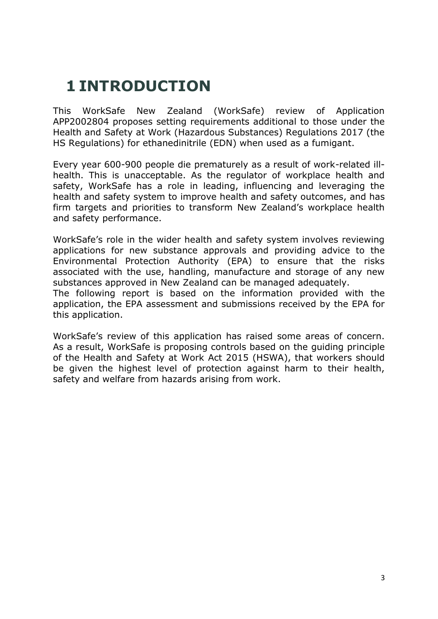### **1 INTRODUCTION**

This WorkSafe New Zealand (WorkSafe) review of Application APP2002804 proposes setting requirements additional to those under the Health and Safety at Work (Hazardous Substances) Regulations 2017 (the HS Regulations) for ethanedinitrile (EDN) when used as a fumigant.

Every year 600-900 people die prematurely as a result of work-related illhealth. This is unacceptable. As the regulator of workplace health and safety, WorkSafe has a role in leading, influencing and leveraging the health and safety system to improve health and safety outcomes, and has firm targets and priorities to transform New Zealand's workplace health and safety performance.

WorkSafe's role in the wider health and safety system involves reviewing applications for new substance approvals and providing advice to the Environmental Protection Authority (EPA) to ensure that the risks associated with the use, handling, manufacture and storage of any new substances approved in New Zealand can be managed adequately. The following report is based on the information provided with the application, the EPA assessment and submissions received by the EPA for this application.

WorkSafe's review of this application has raised some areas of concern. As a result, WorkSafe is proposing controls based on the guiding principle of the Health and Safety at Work Act 2015 (HSWA), that workers should be given the highest level of protection against harm to their health, safety and welfare from hazards arising from work.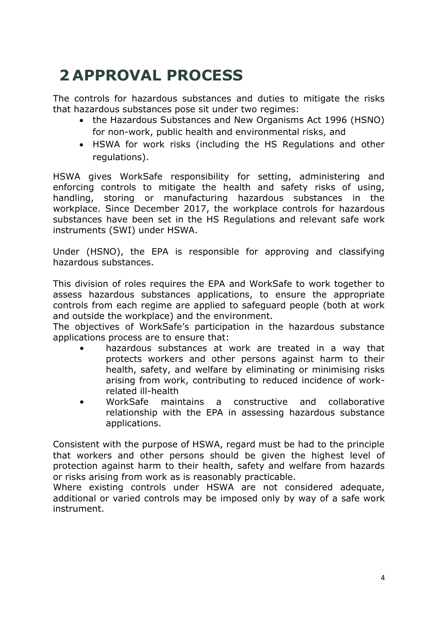### **2 APPROVAL PROCESS**

The controls for hazardous substances and duties to mitigate the risks that hazardous substances pose sit under two regimes:

- the Hazardous Substances and New Organisms Act 1996 (HSNO) for non-work, public health and environmental risks, and
- HSWA for work risks (including the HS Regulations and other regulations).

HSWA gives WorkSafe responsibility for setting, administering and enforcing controls to mitigate the health and safety risks of using, handling, storing or manufacturing hazardous substances in the workplace. Since December 2017, the workplace controls for hazardous substances have been set in the HS Regulations and relevant safe work instruments (SWI) under HSWA.

Under (HSNO), the EPA is responsible for approving and classifying hazardous substances.

This division of roles requires the EPA and WorkSafe to work together to assess hazardous substances applications, to ensure the appropriate controls from each regime are applied to safeguard people (both at work and outside the workplace) and the environment.

The objectives of WorkSafe's participation in the hazardous substance applications process are to ensure that:

- hazardous substances at work are treated in a way that protects workers and other persons against harm to their health, safety, and welfare by eliminating or minimising risks arising from work, contributing to reduced incidence of workrelated ill-health
- WorkSafe maintains a constructive and collaborative relationship with the EPA in assessing hazardous substance applications.

Consistent with the purpose of HSWA, regard must be had to the principle that workers and other persons should be given the highest level of protection against harm to their health, safety and welfare from hazards or risks arising from work as is reasonably practicable.

Where existing controls under HSWA are not considered adequate, additional or varied controls may be imposed only by way of a safe work instrument.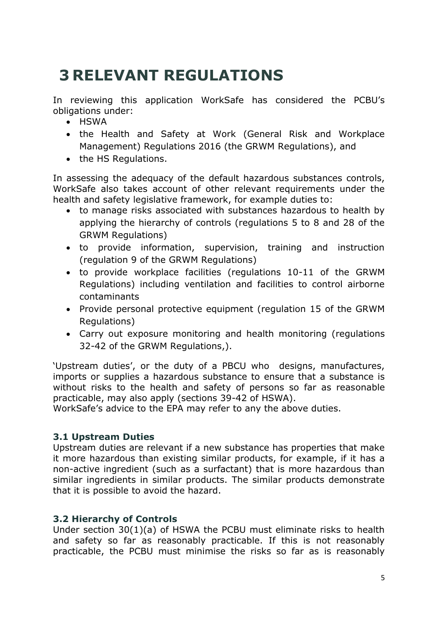### **3 RELEVANT REGULATIONS**

In reviewing this application WorkSafe has considered the PCBU's obligations under:

- HSWA
- the Health and Safety at Work (General Risk and Workplace Management) Regulations 2016 (the GRWM Regulations), and
- the HS Regulations.

In assessing the adequacy of the default hazardous substances controls, WorkSafe also takes account of other relevant requirements under the health and safety legislative framework, for example duties to:

- to manage risks associated with substances hazardous to health by applying the hierarchy of controls (regulations 5 to 8 and 28 of the GRWM Regulations)
- to provide information, supervision, training and instruction (regulation 9 of the GRWM Regulations)
- to provide workplace facilities (regulations 10-11 of the GRWM Regulations) including ventilation and facilities to control airborne contaminants
- Provide personal protective equipment (regulation 15 of the GRWM Regulations)
- Carry out exposure monitoring and health monitoring (regulations 32-42 of the GRWM Regulations,).

'Upstream duties', or the duty of a PBCU who designs, manufactures, imports or supplies a hazardous substance to ensure that a substance is without risks to the health and safety of persons so far as reasonable practicable, may also apply (sections 39-42 of HSWA).

WorkSafe's advice to the EPA may refer to any the above duties.

#### **3.1 Upstream Duties**

Upstream duties are relevant if a new substance has properties that make it more hazardous than existing similar products, for example, if it has a non-active ingredient (such as a surfactant) that is more hazardous than similar ingredients in similar products. The similar products demonstrate that it is possible to avoid the hazard.

#### **3.2 Hierarchy of Controls**

Under section 30(1)(a) of HSWA the PCBU must eliminate risks to health and safety so far as reasonably practicable. If this is not reasonably practicable, the PCBU must minimise the risks so far as is reasonably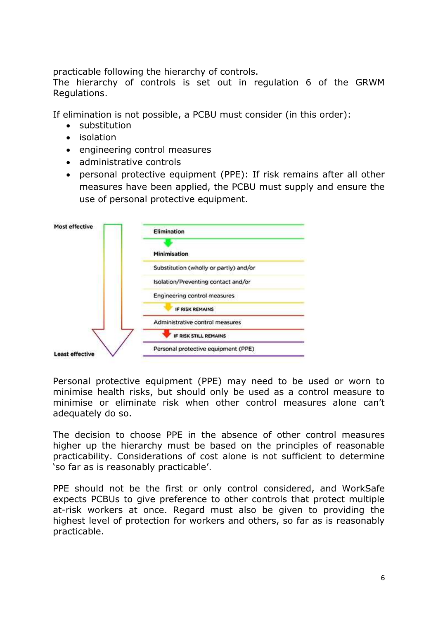practicable following the hierarchy of controls.

The hierarchy of controls is set out in regulation 6 of the GRWM Regulations.

If elimination is not possible, a PCBU must consider (in this order):

- substitution
- isolation
- engineering control measures
- administrative controls
- personal protective equipment (PPE): If risk remains after all other measures have been applied, the PCBU must supply and ensure the use of personal protective equipment.



Personal protective equipment (PPE) may need to be used or worn to minimise health risks, but should only be used as a control measure to minimise or eliminate risk when other control measures alone can't adequately do so.

The decision to choose PPE in the absence of other control measures higher up the hierarchy must be based on the principles of reasonable practicability. Considerations of cost alone is not sufficient to determine 'so far as is reasonably practicable'.

PPE should not be the first or only control considered, and WorkSafe expects PCBUs to give preference to other controls that protect multiple at-risk workers at once. Regard must also be given to providing the highest level of protection for workers and others, so far as is reasonably practicable.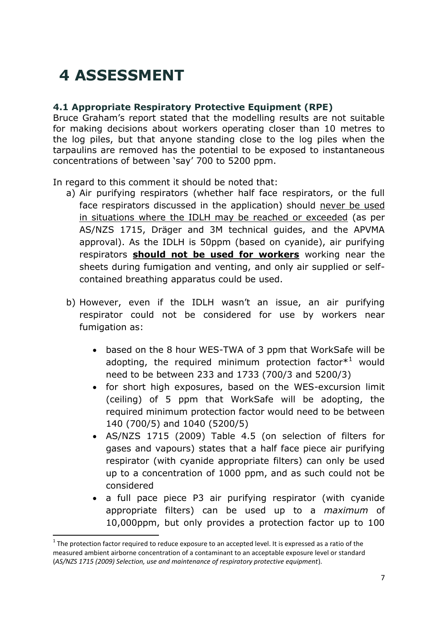### **4 ASSESSMENT**

#### **4.1 Appropriate Respiratory Protective Equipment (RPE)**

Bruce Graham's report stated that the modelling results are not suitable for making decisions about workers operating closer than 10 metres to the log piles, but that anyone standing close to the log piles when the tarpaulins are removed has the potential to be exposed to instantaneous concentrations of between 'say' 700 to 5200 ppm.

In regard to this comment it should be noted that:

- a) Air purifying respirators (whether half face respirators, or the full face respirators discussed in the application) should never be used in situations where the IDLH may be reached or exceeded (as per AS/NZS 1715, Dräger and 3M technical guides, and the APVMA approval). As the IDLH is 50ppm (based on cyanide), air purifying respirators **should not be used for workers** working near the sheets during fumigation and venting, and only air supplied or selfcontained breathing apparatus could be used.
- b) However, even if the IDLH wasn't an issue, an air purifying respirator could not be considered for use by workers near fumigation as:
	- based on the 8 hour WES-TWA of 3 ppm that WorkSafe will be adopting, the required minimum protection factor $*<sup>1</sup>$  would need to be between 233 and 1733 (700/3 and 5200/3)
	- for short high exposures, based on the WES-excursion limit (ceiling) of 5 ppm that WorkSafe will be adopting, the required minimum protection factor would need to be between 140 (700/5) and 1040 (5200/5)
	- AS/NZS 1715 (2009) Table 4.5 (on selection of filters for gases and vapours) states that a half face piece air purifying respirator (with cyanide appropriate filters) can only be used up to a concentration of 1000 ppm, and as such could not be considered
	- a full pace piece P3 air purifying respirator (with cyanide appropriate filters) can be used up to a *maximum* of 10,000ppm, but only provides a protection factor up to 100

**.** 

 $1$  The protection factor required to reduce exposure to an accepted level. It is expressed as a ratio of the measured ambient airborne concentration of a contaminant to an acceptable exposure level or standard (*AS/NZS 1715 (2009) Selection, use and maintenance of respiratory protective equipment*).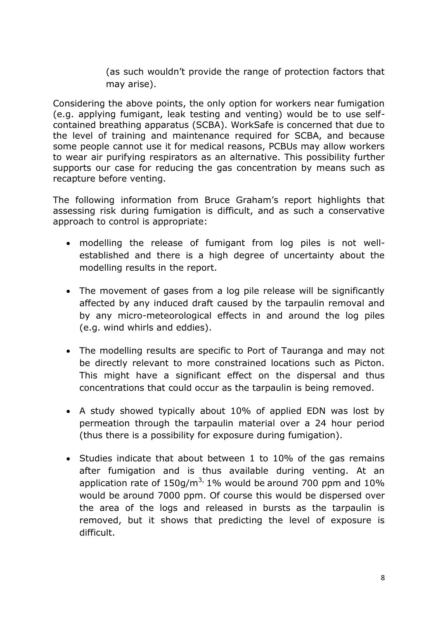(as such wouldn't provide the range of protection factors that may arise).

Considering the above points, the only option for workers near fumigation (e.g. applying fumigant, leak testing and venting) would be to use selfcontained breathing apparatus (SCBA). WorkSafe is concerned that due to the level of training and maintenance required for SCBA, and because some people cannot use it for medical reasons, PCBUs may allow workers to wear air purifying respirators as an alternative. This possibility further supports our case for reducing the gas concentration by means such as recapture before venting.

The following information from Bruce Graham's report highlights that assessing risk during fumigation is difficult, and as such a conservative approach to control is appropriate:

- modelling the release of fumigant from log piles is not wellestablished and there is a high degree of uncertainty about the modelling results in the report.
- The movement of gases from a log pile release will be significantly affected by any induced draft caused by the tarpaulin removal and by any micro-meteorological effects in and around the log piles (e.g. wind whirls and eddies).
- The modelling results are specific to Port of Tauranga and may not be directly relevant to more constrained locations such as Picton. This might have a significant effect on the dispersal and thus concentrations that could occur as the tarpaulin is being removed.
- A study showed typically about 10% of applied EDN was lost by permeation through the tarpaulin material over a 24 hour period (thus there is a possibility for exposure during fumigation).
- Studies indicate that about between 1 to 10% of the gas remains after fumigation and is thus available during venting. At an application rate of  $150g/m^3$ , 1% would be around 700 ppm and 10% would be around 7000 ppm. Of course this would be dispersed over the area of the logs and released in bursts as the tarpaulin is removed, but it shows that predicting the level of exposure is difficult.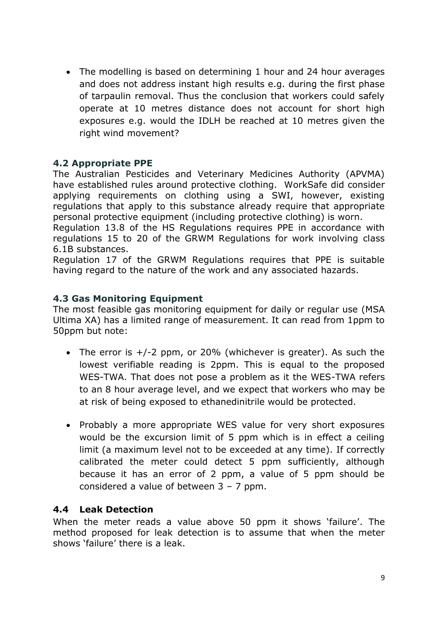• The modelling is based on determining 1 hour and 24 hour averages and does not address instant high results e.g. during the first phase of tarpaulin removal. Thus the conclusion that workers could safely operate at 10 metres distance does not account for short high exposures e.g. would the IDLH be reached at 10 metres given the right wind movement?

#### **4.2 Appropriate PPE**

The Australian Pesticides and Veterinary Medicines Authority (APVMA) have established rules around protective clothing. WorkSafe did consider applying requirements on clothing using a SWI, however, existing regulations that apply to this substance already require that appropriate personal protective equipment (including protective clothing) is worn.

Regulation 13.8 of the HS Regulations requires PPE in accordance with regulations 15 to 20 of the GRWM Regulations for work involving class 6.1B substances.

Regulation 17 of the GRWM Regulations requires that PPE is suitable having regard to the nature of the work and any associated hazards.

#### **4.3 Gas Monitoring Equipment**

The most feasible gas monitoring equipment for daily or regular use (MSA Ultima XA) has a limited range of measurement. It can read from 1ppm to 50ppm but note:

- The error is  $+/-2$  ppm, or 20% (whichever is greater). As such the lowest verifiable reading is 2ppm. This is equal to the proposed WES-TWA. That does not pose a problem as it the WES-TWA refers to an 8 hour average level, and we expect that workers who may be at risk of being exposed to ethanedinitrile would be protected.
- Probably a more appropriate WES value for very short exposures would be the excursion limit of 5 ppm which is in effect a ceiling limit (a maximum level not to be exceeded at any time). If correctly calibrated the meter could detect 5 ppm sufficiently, although because it has an error of 2 ppm, a value of 5 ppm should be considered a value of between 3 – 7 ppm.

#### **4.4 Leak Detection**

When the meter reads a value above 50 ppm it shows 'failure'. The method proposed for leak detection is to assume that when the meter shows 'failure' there is a leak.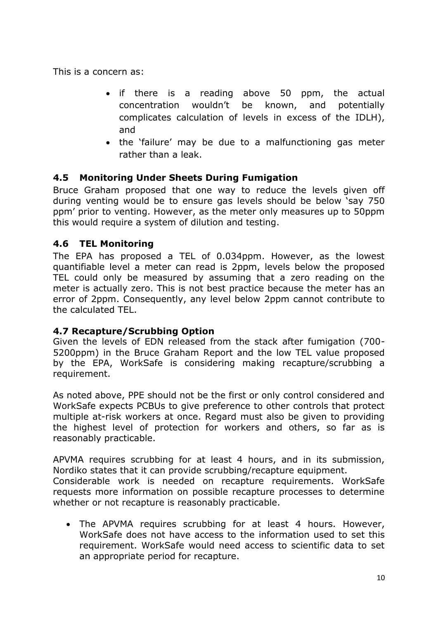This is a concern as:

- if there is a reading above 50 ppm, the actual concentration wouldn't be known, and potentially complicates calculation of levels in excess of the IDLH), and
- the 'failure' may be due to a malfunctioning gas meter rather than a leak.

#### **4.5 Monitoring Under Sheets During Fumigation**

Bruce Graham proposed that one way to reduce the levels given off during venting would be to ensure gas levels should be below 'say 750 ppm' prior to venting. However, as the meter only measures up to 50ppm this would require a system of dilution and testing.

#### **4.6 TEL Monitoring**

The EPA has proposed a TEL of 0.034ppm. However, as the lowest quantifiable level a meter can read is 2ppm, levels below the proposed TEL could only be measured by assuming that a zero reading on the meter is actually zero. This is not best practice because the meter has an error of 2ppm. Consequently, any level below 2ppm cannot contribute to the calculated TEL.

#### **4.7 Recapture/Scrubbing Option**

Given the levels of EDN released from the stack after fumigation (700- 5200ppm) in the Bruce Graham Report and the low TEL value proposed by the EPA, WorkSafe is considering making recapture/scrubbing a requirement.

As noted above, PPE should not be the first or only control considered and WorkSafe expects PCBUs to give preference to other controls that protect multiple at-risk workers at once. Regard must also be given to providing the highest level of protection for workers and others, so far as is reasonably practicable.

APVMA requires scrubbing for at least 4 hours, and in its submission, Nordiko states that it can provide scrubbing/recapture equipment.

Considerable work is needed on recapture requirements. WorkSafe requests more information on possible recapture processes to determine whether or not recapture is reasonably practicable.

 The APVMA requires scrubbing for at least 4 hours. However, WorkSafe does not have access to the information used to set this requirement. WorkSafe would need access to scientific data to set an appropriate period for recapture.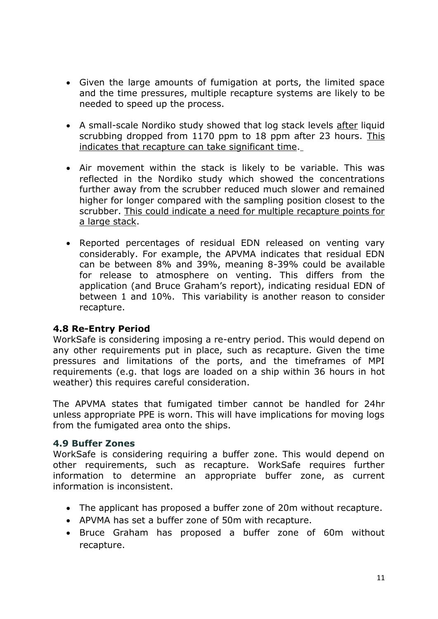- Given the large amounts of fumigation at ports, the limited space and the time pressures, multiple recapture systems are likely to be needed to speed up the process.
- A small-scale Nordiko study showed that log stack levels after liquid scrubbing dropped from 1170 ppm to 18 ppm after 23 hours. This indicates that recapture can take significant time.
- Air movement within the stack is likely to be variable. This was reflected in the Nordiko study which showed the concentrations further away from the scrubber reduced much slower and remained higher for longer compared with the sampling position closest to the scrubber. This could indicate a need for multiple recapture points for a large stack.
- Reported percentages of residual EDN released on venting vary considerably. For example, the APVMA indicates that residual EDN can be between 8% and 39%, meaning 8-39% could be available for release to atmosphere on venting. This differs from the application (and Bruce Graham's report), indicating residual EDN of between 1 and 10%. This variability is another reason to consider recapture.

#### **4.8 Re-Entry Period**

WorkSafe is considering imposing a re-entry period. This would depend on any other requirements put in place, such as recapture. Given the time pressures and limitations of the ports, and the timeframes of MPI requirements (e.g. that logs are loaded on a ship within 36 hours in hot weather) this requires careful consideration.

The APVMA states that fumigated timber cannot be handled for 24hr unless appropriate PPE is worn. This will have implications for moving logs from the fumigated area onto the ships.

#### **4.9 Buffer Zones**

WorkSafe is considering requiring a buffer zone. This would depend on other requirements, such as recapture. WorkSafe requires further information to determine an appropriate buffer zone, as current information is inconsistent.

- The applicant has proposed a buffer zone of 20m without recapture.
- APVMA has set a buffer zone of 50m with recapture.
- Bruce Graham has proposed a buffer zone of 60m without recapture.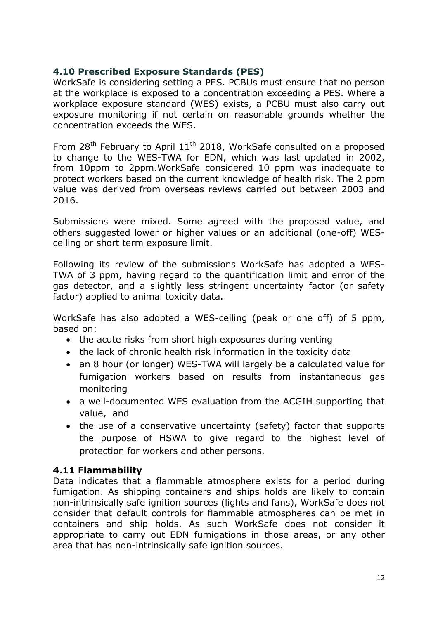#### **4.10 Prescribed Exposure Standards (PES)**

WorkSafe is considering setting a PES. PCBUs must ensure that no person at the workplace is exposed to a concentration exceeding a PES. Where a workplace exposure standard (WES) exists, a PCBU must also carry out exposure monitoring if not certain on reasonable grounds whether the concentration exceeds the WES.

From  $28<sup>th</sup>$  February to April  $11<sup>th</sup>$  2018, WorkSafe consulted on a proposed to change to the WES-TWA for EDN, which was last updated in 2002, from 10ppm to 2ppm.WorkSafe considered 10 ppm was inadequate to protect workers based on the current knowledge of health risk. The 2 ppm value was derived from overseas reviews carried out between 2003 and 2016.

Submissions were mixed. Some agreed with the proposed value, and others suggested lower or higher values or an additional (one-off) WESceiling or short term exposure limit.

Following its review of the submissions WorkSafe has adopted a WES-TWA of 3 ppm, having regard to the quantification limit and error of the gas detector, and a slightly less stringent uncertainty factor (or safety factor) applied to animal toxicity data.

WorkSafe has also adopted a WES-ceiling (peak or one off) of 5 ppm, based on:

- the acute risks from short high exposures during venting
- the lack of chronic health risk information in the toxicity data
- an 8 hour (or longer) WES-TWA will largely be a calculated value for fumigation workers based on results from instantaneous gas monitoring
- a well-documented WES evaluation from the ACGIH supporting that value, and
- the use of a conservative uncertainty (safety) factor that supports the purpose of HSWA to give regard to the highest level of protection for workers and other persons.

#### **4.11 Flammability**

Data indicates that a flammable atmosphere exists for a period during fumigation. As shipping containers and ships holds are likely to contain non-intrinsically safe ignition sources (lights and fans), WorkSafe does not consider that default controls for flammable atmospheres can be met in containers and ship holds. As such WorkSafe does not consider it appropriate to carry out EDN fumigations in those areas, or any other area that has non-intrinsically safe ignition sources.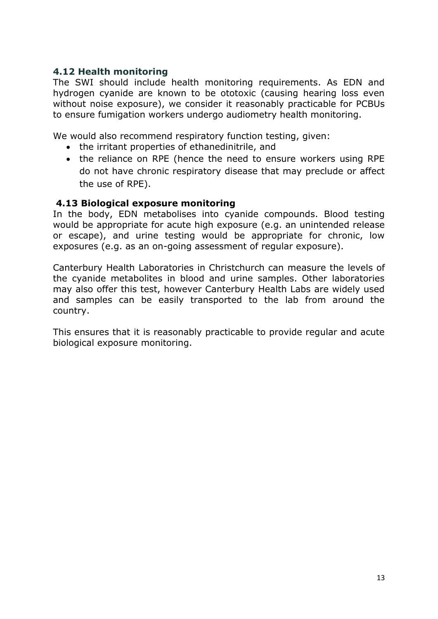#### **4.12 Health monitoring**

The SWI should include health monitoring requirements. As EDN and hydrogen cyanide are known to be ototoxic (causing hearing loss even without noise exposure), we consider it reasonably practicable for PCBUs to ensure fumigation workers undergo audiometry health monitoring.

We would also recommend respiratory function testing, given:

- the irritant properties of ethanedinitrile, and
- the reliance on RPE (hence the need to ensure workers using RPE do not have chronic respiratory disease that may preclude or affect the use of RPE).

#### **4.13 Biological exposure monitoring**

In the body, EDN metabolises into cyanide compounds. Blood testing would be appropriate for acute high exposure (e.g. an unintended release or escape), and urine testing would be appropriate for chronic, low exposures (e.g. as an on-going assessment of regular exposure).

Canterbury Health Laboratories in Christchurch can measure the levels of the cyanide metabolites in blood and urine samples. Other laboratories may also offer this test, however Canterbury Health Labs are widely used and samples can be easily transported to the lab from around the country.

This ensures that it is reasonably practicable to provide regular and acute biological exposure monitoring.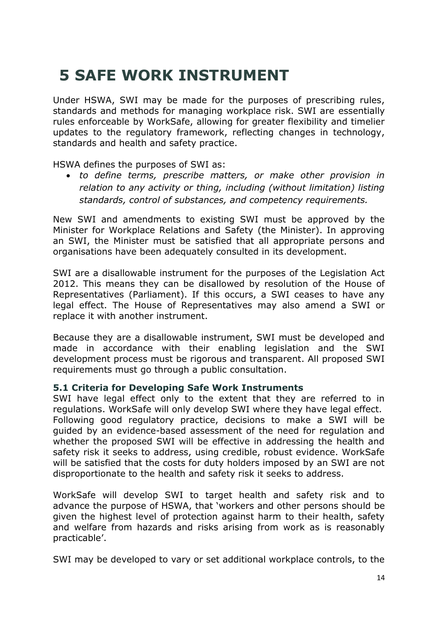### **5 SAFE WORK INSTRUMENT**

Under HSWA, SWI may be made for the purposes of prescribing rules, standards and methods for managing workplace risk. SWI are essentially rules enforceable by WorkSafe, allowing for greater flexibility and timelier updates to the regulatory framework, reflecting changes in technology, standards and health and safety practice.

HSWA defines the purposes of SWI as:

 *to define terms, prescribe matters, or make other provision in relation to any activity or thing, including (without limitation) listing standards, control of substances, and competency requirements.*

New SWI and amendments to existing SWI must be approved by the Minister for Workplace Relations and Safety (the Minister). In approving an SWI, the Minister must be satisfied that all appropriate persons and organisations have been adequately consulted in its development.

SWI are a disallowable instrument for the purposes of the Legislation Act 2012. This means they can be disallowed by resolution of the House of Representatives (Parliament). If this occurs, a SWI ceases to have any legal effect. The House of Representatives may also amend a SWI or replace it with another instrument.

Because they are a disallowable instrument, SWI must be developed and made in accordance with their enabling legislation and the SWI development process must be rigorous and transparent. All proposed SWI requirements must go through a public consultation.

#### **5.1 Criteria for Developing Safe Work Instruments**

SWI have legal effect only to the extent that they are referred to in regulations. WorkSafe will only develop SWI where they have legal effect. Following good regulatory practice, decisions to make a SWI will be guided by an evidence-based assessment of the need for regulation and whether the proposed SWI will be effective in addressing the health and safety risk it seeks to address, using credible, robust evidence. WorkSafe will be satisfied that the costs for duty holders imposed by an SWI are not disproportionate to the health and safety risk it seeks to address.

WorkSafe will develop SWI to target health and safety risk and to advance the purpose of HSWA, that 'workers and other persons should be given the highest level of protection against harm to their health, safety and welfare from hazards and risks arising from work as is reasonably practicable'.

SWI may be developed to vary or set additional workplace controls, to the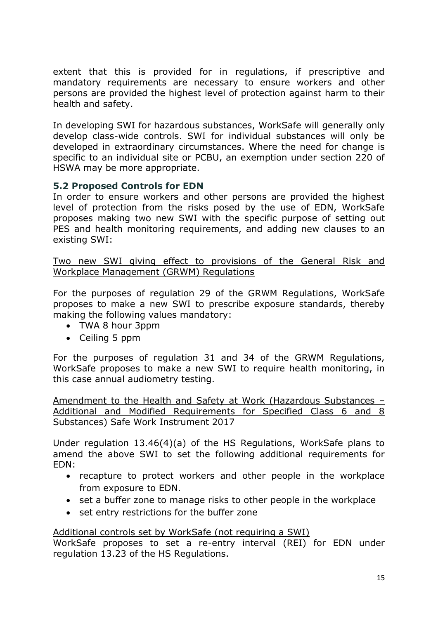extent that this is provided for in regulations, if prescriptive and mandatory requirements are necessary to ensure workers and other persons are provided the highest level of protection against harm to their health and safety.

In developing SWI for hazardous substances, WorkSafe will generally only develop class-wide controls. SWI for individual substances will only be developed in extraordinary circumstances. Where the need for change is specific to an individual site or PCBU, an exemption under section 220 of HSWA may be more appropriate.

#### **5.2 Proposed Controls for EDN**

In order to ensure workers and other persons are provided the highest level of protection from the risks posed by the use of EDN, WorkSafe proposes making two new SWI with the specific purpose of setting out PES and health monitoring requirements, and adding new clauses to an existing SWI:

Two new SWI giving effect to provisions of the General Risk and Workplace Management (GRWM) Regulations

For the purposes of regulation 29 of the GRWM Regulations, WorkSafe proposes to make a new SWI to prescribe exposure standards, thereby making the following values mandatory:

- TWA 8 hour 3ppm
- Ceiling 5 ppm

For the purposes of regulation 31 and 34 of the GRWM Regulations, WorkSafe proposes to make a new SWI to require health monitoring, in this case annual audiometry testing.

Amendment to the Health and Safety at Work (Hazardous Substances – Additional and Modified Requirements for Specified Class 6 and 8 Substances) Safe Work Instrument 2017

Under regulation 13.46(4)(a) of the HS Regulations, WorkSafe plans to amend the above SWI to set the following additional requirements for EDN:

- recapture to protect workers and other people in the workplace from exposure to EDN.
- set a buffer zone to manage risks to other people in the workplace
- set entry restrictions for the buffer zone

Additional controls set by WorkSafe (not requiring a SWI)

WorkSafe proposes to set a re-entry interval (REI) for EDN under regulation 13.23 of the HS Regulations.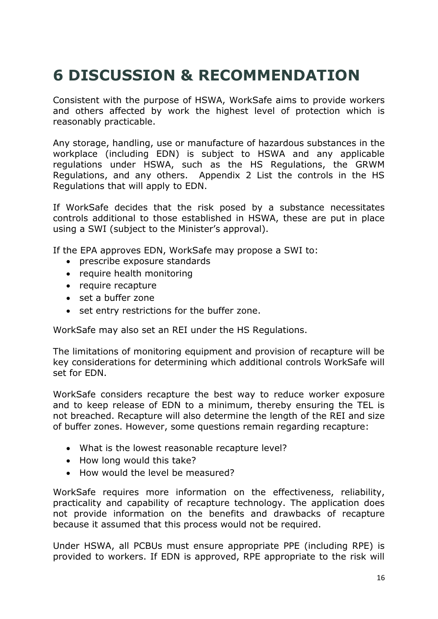## **6 DISCUSSION & RECOMMENDATION**

Consistent with the purpose of HSWA, WorkSafe aims to provide workers and others affected by work the highest level of protection which is reasonably practicable.

Any storage, handling, use or manufacture of hazardous substances in the workplace (including EDN) is subject to HSWA and any applicable regulations under HSWA, such as the HS Regulations, the GRWM Regulations, and any others. Appendix 2 List the controls in the HS Regulations that will apply to EDN.

If WorkSafe decides that the risk posed by a substance necessitates controls additional to those established in HSWA, these are put in place using a SWI (subject to the Minister's approval).

If the EPA approves EDN, WorkSafe may propose a SWI to:

- prescribe exposure standards
- require health monitoring
- require recapture
- set a buffer zone
- set entry restrictions for the buffer zone.

WorkSafe may also set an REI under the HS Regulations.

The limitations of monitoring equipment and provision of recapture will be key considerations for determining which additional controls WorkSafe will set for EDN.

WorkSafe considers recapture the best way to reduce worker exposure and to keep release of EDN to a minimum, thereby ensuring the TEL is not breached. Recapture will also determine the length of the REI and size of buffer zones. However, some questions remain regarding recapture:

- What is the lowest reasonable recapture level?
- How long would this take?
- How would the level be measured?

WorkSafe requires more information on the effectiveness, reliability, practicality and capability of recapture technology. The application does not provide information on the benefits and drawbacks of recapture because it assumed that this process would not be required.

Under HSWA, all PCBUs must ensure appropriate PPE (including RPE) is provided to workers. If EDN is approved, RPE appropriate to the risk will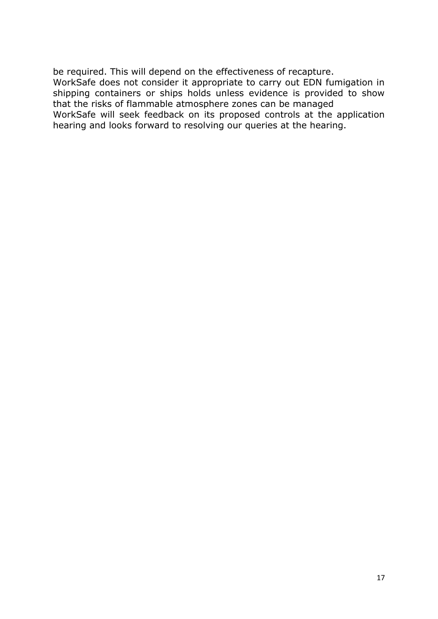be required. This will depend on the effectiveness of recapture. WorkSafe does not consider it appropriate to carry out EDN fumigation in shipping containers or ships holds unless evidence is provided to show that the risks of flammable atmosphere zones can be managed WorkSafe will seek feedback on its proposed controls at the application hearing and looks forward to resolving our queries at the hearing.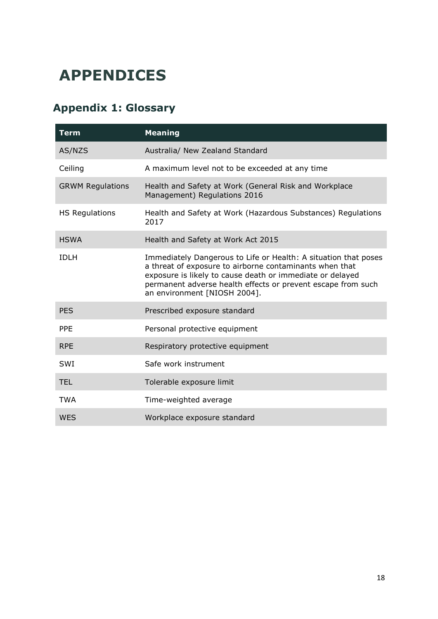### **APPENDICES**

### **Appendix 1: Glossary**

| <b>Term</b>             | <b>Meaning</b>                                                                                                                                                                                                                                                                          |  |  |
|-------------------------|-----------------------------------------------------------------------------------------------------------------------------------------------------------------------------------------------------------------------------------------------------------------------------------------|--|--|
| AS/NZS                  | Australia/ New Zealand Standard                                                                                                                                                                                                                                                         |  |  |
| Ceiling                 | A maximum level not to be exceeded at any time                                                                                                                                                                                                                                          |  |  |
| <b>GRWM Regulations</b> | Health and Safety at Work (General Risk and Workplace<br>Management) Regulations 2016                                                                                                                                                                                                   |  |  |
| <b>HS Regulations</b>   | Health and Safety at Work (Hazardous Substances) Regulations<br>2017                                                                                                                                                                                                                    |  |  |
| <b>HSWA</b>             | Health and Safety at Work Act 2015                                                                                                                                                                                                                                                      |  |  |
| <b>IDLH</b>             | Immediately Dangerous to Life or Health: A situation that poses<br>a threat of exposure to airborne contaminants when that<br>exposure is likely to cause death or immediate or delayed<br>permanent adverse health effects or prevent escape from such<br>an environment [NIOSH 2004]. |  |  |
| <b>PES</b>              | Prescribed exposure standard                                                                                                                                                                                                                                                            |  |  |
| <b>PPF</b>              | Personal protective equipment                                                                                                                                                                                                                                                           |  |  |
| <b>RPE</b>              | Respiratory protective equipment                                                                                                                                                                                                                                                        |  |  |
| <b>SWI</b>              | Safe work instrument                                                                                                                                                                                                                                                                    |  |  |
| <b>TEL</b>              | Tolerable exposure limit                                                                                                                                                                                                                                                                |  |  |
| <b>TWA</b>              | Time-weighted average                                                                                                                                                                                                                                                                   |  |  |
| <b>WES</b>              | Workplace exposure standard                                                                                                                                                                                                                                                             |  |  |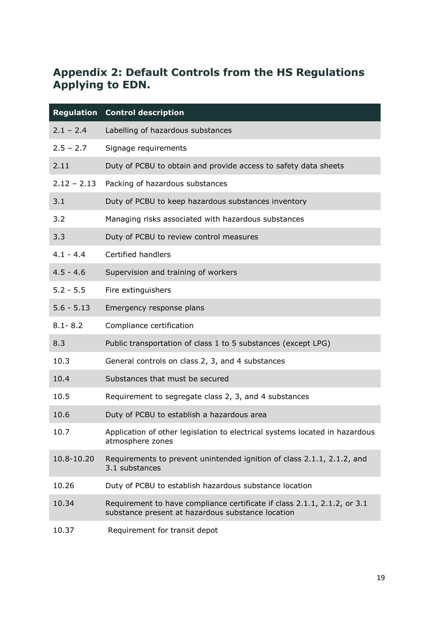#### **Appendix 2: Default Controls from the HS Regulations Applying to EDN.**

|               | <b>Regulation Control description</b>                                                                                         |  |  |  |
|---------------|-------------------------------------------------------------------------------------------------------------------------------|--|--|--|
| $2.1 - 2.4$   | Labelling of hazardous substances                                                                                             |  |  |  |
| $2.5 - 2.7$   | Signage requirements                                                                                                          |  |  |  |
| 2.11          | Duty of PCBU to obtain and provide access to safety data sheets                                                               |  |  |  |
| $2.12 - 2.13$ | Packing of hazardous substances                                                                                               |  |  |  |
| 3.1           | Duty of PCBU to keep hazardous substances inventory                                                                           |  |  |  |
| 3.2           | Managing risks associated with hazardous substances                                                                           |  |  |  |
| 3.3           | Duty of PCBU to review control measures                                                                                       |  |  |  |
| $4.1 - 4.4$   | Certified handlers                                                                                                            |  |  |  |
| $4.5 - 4.6$   | Supervision and training of workers                                                                                           |  |  |  |
| $5.2 - 5.5$   | Fire extinguishers                                                                                                            |  |  |  |
| $5.6 - 5.13$  | Emergency response plans                                                                                                      |  |  |  |
| $8.1 - 8.2$   | Compliance certification                                                                                                      |  |  |  |
| 8.3           | Public transportation of class 1 to 5 substances (except LPG)                                                                 |  |  |  |
| 10.3          | General controls on class 2, 3, and 4 substances                                                                              |  |  |  |
| 10.4          | Substances that must be secured                                                                                               |  |  |  |
| 10.5          | Requirement to segregate class 2, 3, and 4 substances                                                                         |  |  |  |
| 10.6          | Duty of PCBU to establish a hazardous area                                                                                    |  |  |  |
| 10.7          | Application of other legislation to electrical systems located in hazardous<br>atmosphere zones                               |  |  |  |
| 10.8-10.20    | Requirements to prevent unintended ignition of class 2.1.1, 2.1.2, and<br>3.1 substances                                      |  |  |  |
| 10.26         | Duty of PCBU to establish hazardous substance location                                                                        |  |  |  |
| 10.34         | Requirement to have compliance certificate if class 2.1.1, 2.1.2, or 3.1<br>substance present at hazardous substance location |  |  |  |
| 10.37         | Requirement for transit depot                                                                                                 |  |  |  |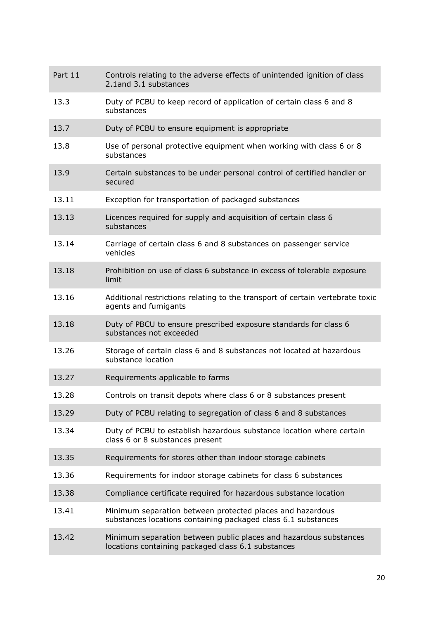| Part 11 | Controls relating to the adverse effects of unintended ignition of class<br>2.1and 3.1 substances                          |  |  |
|---------|----------------------------------------------------------------------------------------------------------------------------|--|--|
| 13.3    | Duty of PCBU to keep record of application of certain class 6 and 8<br>substances                                          |  |  |
| 13.7    | Duty of PCBU to ensure equipment is appropriate                                                                            |  |  |
| 13.8    | Use of personal protective equipment when working with class 6 or 8<br>substances                                          |  |  |
| 13.9    | Certain substances to be under personal control of certified handler or<br>secured                                         |  |  |
| 13.11   | Exception for transportation of packaged substances                                                                        |  |  |
| 13.13   | Licences required for supply and acquisition of certain class 6<br>substances                                              |  |  |
| 13.14   | Carriage of certain class 6 and 8 substances on passenger service<br>vehicles                                              |  |  |
| 13.18   | Prohibition on use of class 6 substance in excess of tolerable exposure<br>limit                                           |  |  |
| 13.16   | Additional restrictions relating to the transport of certain vertebrate toxic<br>agents and fumigants                      |  |  |
| 13.18   | Duty of PBCU to ensure prescribed exposure standards for class 6<br>substances not exceeded                                |  |  |
| 13.26   | Storage of certain class 6 and 8 substances not located at hazardous<br>substance location                                 |  |  |
| 13.27   | Requirements applicable to farms                                                                                           |  |  |
| 13.28   | Controls on transit depots where class 6 or 8 substances present                                                           |  |  |
| 13.29   | Duty of PCBU relating to segregation of class 6 and 8 substances                                                           |  |  |
| 13.34   | Duty of PCBU to establish hazardous substance location where certain<br>class 6 or 8 substances present                    |  |  |
| 13.35   | Requirements for stores other than indoor storage cabinets                                                                 |  |  |
| 13.36   | Requirements for indoor storage cabinets for class 6 substances                                                            |  |  |
| 13.38   | Compliance certificate required for hazardous substance location                                                           |  |  |
| 13.41   | Minimum separation between protected places and hazardous<br>substances locations containing packaged class 6.1 substances |  |  |
| 13.42   | Minimum separation between public places and hazardous substances<br>locations containing packaged class 6.1 substances    |  |  |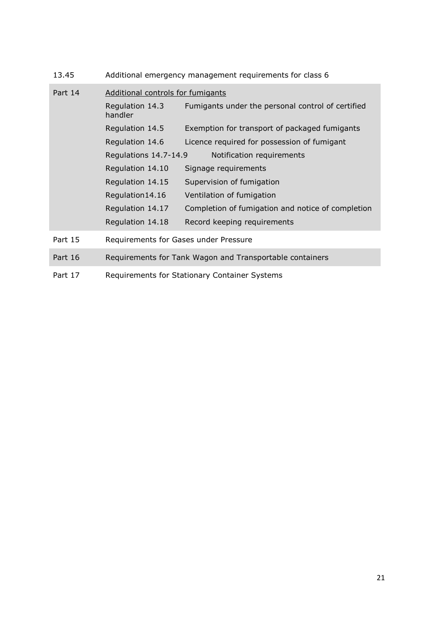| 13.45   | Additional emergency management requirements for class 6 |                                                   |  |  |
|---------|----------------------------------------------------------|---------------------------------------------------|--|--|
| Part 14 | Additional controls for fumigants                        |                                                   |  |  |
|         | Regulation 14.3<br>handler                               | Fumigants under the personal control of certified |  |  |
|         | Regulation 14.5                                          | Exemption for transport of packaged fumigants     |  |  |
|         | Regulation 14.6                                          | Licence required for possession of fumigant       |  |  |
|         | Regulations 14.7-14.9                                    | Notification requirements                         |  |  |
|         | Regulation 14.10                                         | Signage requirements                              |  |  |
|         | Regulation 14.15                                         | Supervision of fumigation                         |  |  |
|         | Regulation14.16                                          | Ventilation of fumigation                         |  |  |
|         | Regulation 14.17                                         | Completion of fumigation and notice of completion |  |  |
|         | Regulation 14.18                                         | Record keeping requirements                       |  |  |
| Part 15 | Requirements for Gases under Pressure                    |                                                   |  |  |
| Part 16 | Requirements for Tank Wagon and Transportable containers |                                                   |  |  |
| Part 17 |                                                          | Requirements for Stationary Container Systems     |  |  |